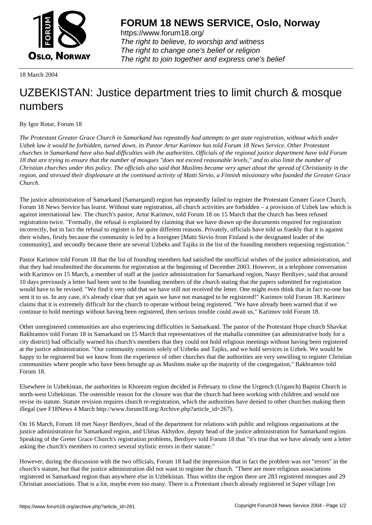

https://www.forum18.org/ The right to believe, to worship and witness The right to change one's belief or religion [The right to join together a](https://www.forum18.org/)nd express one's belief

18 March 2004

## [UZBEKISTAN:](https://www.forum18.org) Justice department tries to limit church & mosque numbers

By Igor Rotar, Forum 18

*The Protestant Greater Grace Church in Samarkand has repeatedly had attempts to get state registration, without which under Uzbek law it would be forbidden, turned down, its Pastor Artur Karimov has told Forum 18 News Service. Other Protestant churches in Samarkand have also had difficulties with the authorities. Officials of the regional justice department have told Forum 18 that are trying to ensure that the number of mosques "does not exceed reasonable levels," and to also limit the number of Christian churches under this policy. The officials also said that Muslims became very upset about the spread of Christianity in the region, and stressed their displeasure at the continued activity of Matti Sirvio, a Finnish missionary who founded the Greater Grace Church.*

The justice administration of Samarkand (Samarqand) region has repeatedly failed to register the Protestant Greater Grace Church, Forum 18 News Service has learnt. Without state registration, all church activities are forbidden – a provision of Uzbek law which is against international law. The church's pastor, Artur Karimov, told Forum 18 on 15 March that the church has been refused registration twice. "Formally, the refusal is explained by claiming that we have drawn up the documents required for registration incorrectly, but in fact the refusal to register is for quite different reasons. Privately, officials have told us frankly that it is against their wishes, firstly because the community is led by a foreigner [Matti Sirvio from Finland is the designated leader of the community], and secondly because there are several Uzbeks and Tajiks in the list of the founding members requesting registration."

Pastor Karimov told Forum 18 that the list of founding members had satisfied the unofficial wishes of the justice administration, and that they had resubmitted the documents for registration at the beginning of December 2003. However, in a telephone conversation with Karimov on 15 March, a member of staff at the justice administration for Samarkand region, Nasyr Berdiyev, said that around 10 days previously a letter had been sent to the founding members of the church stating that the papers submitted for registration would have to be revised. "We find it very odd that we have still not received the letter. One might even think that in fact no-one has sent it to us. In any case, it's already clear that yet again we have not managed to be registered!" Karimov told Forum 18. Karimov claims that it is extremely difficult for the church to operate without being registered. "We have already been warned that if we continue to hold meetings without having been registered, then serious trouble could await us," Karimov told Forum 18.

Other unregistered communities are also experiencing difficulties in Samarkand. The pastor of the Protestant Hope church Shavkat Bakhramov told Forum 18 in Samarkand on 15 March that representatives of the mahalla committee (an administrative body for a city district) had officially warned his church's members that they could not hold religious meetings without having been registered at the justice administration. "Our community consists solely of Uzbeks and Tajiks, and we hold services in Uzbek. We would be happy to be registered but we know from the experience of other churches that the authorities are very unwilling to register Christian communities where people who have been brought up as Muslims make up the majority of the congregation," Bakhramov told Forum 18.

Elsewhere in Uzbekistan, the authorities in Khorezm region decided in February to close the Urgench (Urganch) Baptist Church in north-west Uzbekistan. The ostensible reason for the closure was that the church had been working with children and would not revise its statute. Statute revision requires church re-registration, which the authorities have denied to other churches making them illegal (see F18News 4 March http://www.forum18.org/Archive.php?article\_id=267).

On 16 March, Forum 18 met Nasyr Berdiyev, head of the department for relations with public and religious organisations at the justice administration for Samarkand region, and Ulmas Akhydov, deputy head of the justice administration for Samarkand region. Speaking of the Greter Grace Church's registration problems, Berdiyev told Forum 18 that "it's true that we have already sent a letter asking the church's members to correct several stylistic errors in their statute."

However, during the discussion with the two officials, Forum 18 had the impression that in fact the problem was not "errors" in the church's statute, but that the justice administration did not want to register the church. "There are more religious associations registered in Samarkand region than anywhere else in Uzbekistan. Thus within the region there are 283 registered mosques and 29 Christian associations. That is a lot, maybe even too many. There is a Protestant church already registered in Super village [on